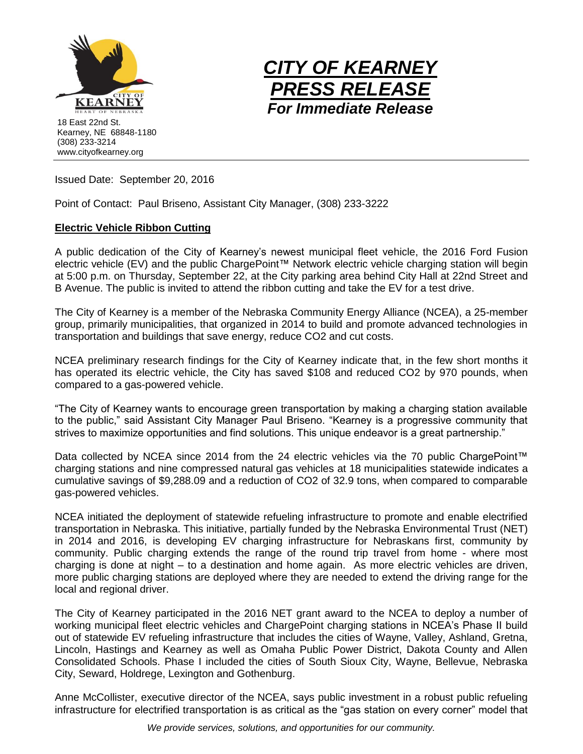



Issued Date: September 20, 2016

Point of Contact: Paul Briseno, Assistant City Manager, (308) 233-3222

## **Electric Vehicle Ribbon Cutting**

A public dedication of the City of Kearney's newest municipal fleet vehicle, the 2016 Ford Fusion electric vehicle (EV) and the public ChargePoint™ Network electric vehicle charging station will begin at 5:00 p.m. on Thursday, September 22, at the City parking area behind City Hall at 22nd Street and B Avenue. The public is invited to attend the ribbon cutting and take the EV for a test drive.

The City of Kearney is a member of the Nebraska Community Energy Alliance (NCEA), a 25-member group, primarily municipalities, that organized in 2014 to build and promote advanced technologies in transportation and buildings that save energy, reduce CO2 and cut costs.

NCEA preliminary research findings for the City of Kearney indicate that, in the few short months it has operated its electric vehicle, the City has saved \$108 and reduced CO2 by 970 pounds, when compared to a gas-powered vehicle.

"The City of Kearney wants to encourage green transportation by making a charging station available to the public," said Assistant City Manager Paul Briseno. "Kearney is a progressive community that strives to maximize opportunities and find solutions. This unique endeavor is a great partnership."

Data collected by NCEA since 2014 from the 24 electric vehicles via the 70 public ChargePoint™ charging stations and nine compressed natural gas vehicles at 18 municipalities statewide indicates a cumulative savings of \$9,288.09 and a reduction of CO2 of 32.9 tons, when compared to comparable gas-powered vehicles.

NCEA initiated the deployment of statewide refueling infrastructure to promote and enable electrified transportation in Nebraska. This initiative, partially funded by the Nebraska Environmental Trust (NET) in 2014 and 2016, is developing EV charging infrastructure for Nebraskans first, community by community. Public charging extends the range of the round trip travel from home - where most charging is done at night – to a destination and home again. As more electric vehicles are driven, more public charging stations are deployed where they are needed to extend the driving range for the local and regional driver.

The City of Kearney participated in the 2016 NET grant award to the NCEA to deploy a number of working municipal fleet electric vehicles and ChargePoint charging stations in NCEA's Phase II build out of statewide EV refueling infrastructure that includes the cities of Wayne, Valley, Ashland, Gretna, Lincoln, Hastings and Kearney as well as Omaha Public Power District, Dakota County and Allen Consolidated Schools. Phase I included the cities of South Sioux City, Wayne, Bellevue, Nebraska City, Seward, Holdrege, Lexington and Gothenburg.

Anne McCollister, executive director of the NCEA, says public investment in a robust public refueling infrastructure for electrified transportation is as critical as the "gas station on every corner" model that

*We provide services, solutions, and opportunities for our community.*